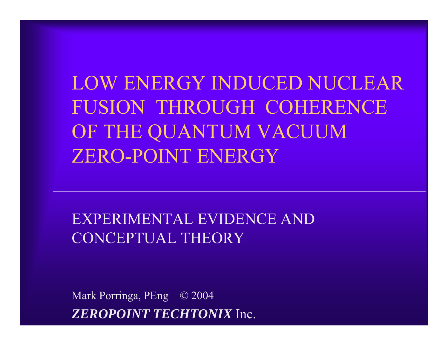LOW ENERGY INDUCED NUCLEAR FUSION THROUGH COHERENCE OF THE QUANTUM VACUUM ZERO-POINT ENERGY

#### EXPERIMENTAL EVIDENCE AND CONCEPTUAL THEORY

Mark Porringa, PEng © 2004 *ZEROPOINT TECHTONIX* Inc.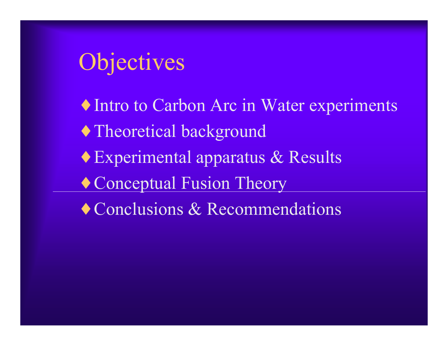## **Objectives**

- ♦ Intro to Carbon Arc in Water experiments
- ♦ Theoretical background
- ♦ Experimental apparatus & Results
- ♦ Conceptual Fusion Theory
- ♦ Conclusions & Recommendations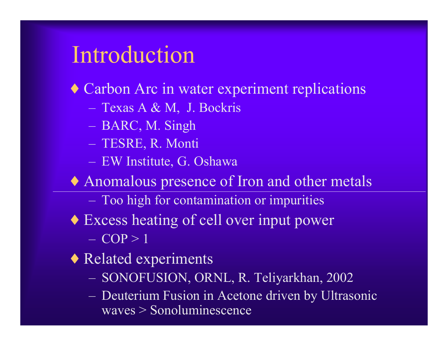#### Introduction

♦ Carbon Arc in water experiment replications

- ñTexas A & M, J. Bockris
- ñBARC, M. Singh
- ñTESRE, R. Monti
- **marcona** EW Institute, G. Oshawa
- ♦ Anomalous presence of Iron and other metals
	- ñToo high for contamination or impurities
- ♦ Excess heating of cell over input power  $-$  COP  $> 1$
- ♦ Related experiments
	- ñSONOFUSION, ORNL, R. Teliyarkhan, 2002
	- ñ Deuterium Fusion in Acetone driven by Ultrasonic waves > Sonoluminescence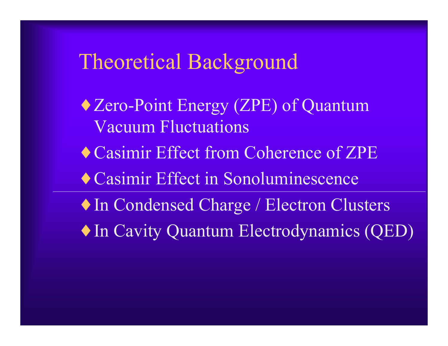#### Theoretical Background

- ♦ Zero-Point Energy (ZPE) of Quantum Vacuum Fluctuations
- ♦ Casimir Effect from Coherence of ZPE
- ♦ Casimir Effect in Sonoluminescence
- ♦ In Condensed Charge / Electron Clusters
- ♦ In Cavity Quantum Electrodynamics (QED)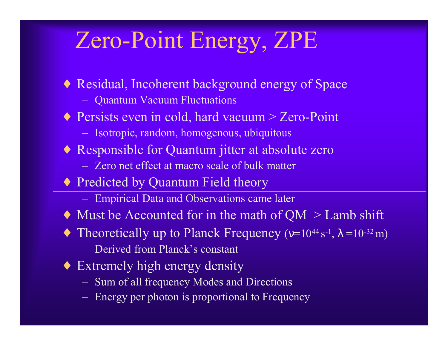## Zero-Point Energy, ZPE

- ♦ Residual, Incoherent background energy of Space
	- **market** Quantum Vacuum Fluctuations
- ◆ Persists even in cold, hard vacuum > Zero-Point
	- ñIsotropic, random, homogenous, ubiquitous
- ♦ Responsible for Quantum jitter at absolute zero
	- Zero net effect at macro scale of bulk matter
- ◆ Predicted by Quantum Field theory
	- **market** Empirical Data and Observations came later
- $\triangle$  Must be Accounted for in the math of QM  $>$  Lamb shift
- $\blacklozenge$  Theoretically up to Planck Frequency (v=10<sup>44</sup> s<sup>-1</sup>,  $\lambda$  =10<sup>-32</sup> m)
	- Derived from Planck's constant
- Extremely high energy density
	- Sum of all frequency Modes and Directions
	- **market** Energy per photon is proportional to Frequency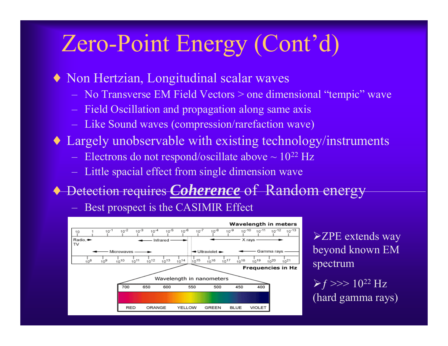## Zero-Point Energy (Cont'd)

- ♦ Non Hertzian, Longitudinal scalar waves
	- **marcona** No Transverse EM Field Vectors > one dimensional "tempic" wave
	- ñField Oscillation and propagation along same axis
	- Like Sound waves (compression/rarefaction wave)
- ♦ Largely unobservable with existing technology/instruments
	- Electrons do not respond/oscillate above  $\sim 10^{22}$  Hz
	- **market** Little spacial effect from single dimension wave
- ♦ Detection requires *Coherence* of Random energy

Best prospect is the CASIMIR Effect



 $\blacktriangleright$  ZPE extends way beyond known EM spectrum

 $\triangleright$  f >>> 10<sup>22</sup> Hz (hard gamma rays)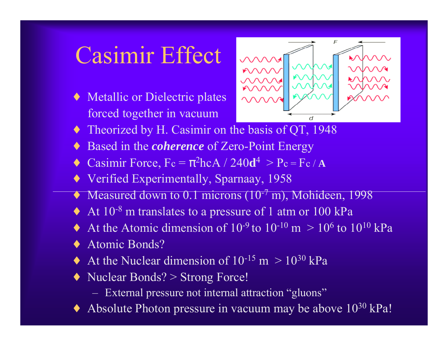## Casimir Effect

♦ Metallic or Dielectric plates forced together in vacuum



- ♦Theorized by H. Casimir on the basis of QT, 1948
- ♦Based in the *coherence* of Zero-Point Energy
- ♦• Casimir Force,  $Fc = \pi^2 hcA / 240d$  $^{4} > P_c = F_c / A$
- ♦Verified Experimentally, Sparnaay, 1958
- ♦Measured down to 0.1 microns (10<sup>-7</sup> m), Mohideen, 1998
- ♦At 10-<sup>8</sup> m translates to a pressure of 1 atm or 100 kPa
- ♦ $\triangle$  At the Atomic dimension of 10<sup>-9</sup> to 10<sup>-10</sup> m  $> 10^6$  to 10<sup>10</sup> kPa
- ♦Atomic Bonds?
- ♦At the Nuclear dimension of  $10^{-15}$  m  $> 10^{30}$  kPa
- ♦ Nuclear Bonds? > Strong Force!
	- ñExternal pressure not internal attraction "gluons"
- ♦Absolute Photon pressure in vacuum may be above  $10^{30}$  kPa!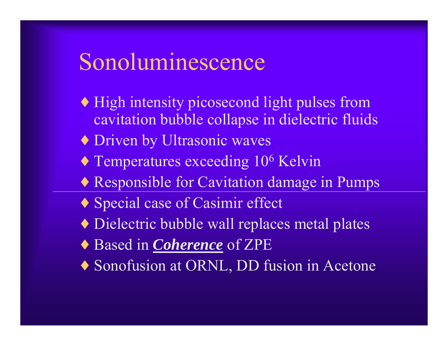#### Sonoluminescence

- ♦ High intensity picosecond light pulses from cavitation bubble collapse in dielectric fluids
- ♦ Driven by Ultrasonic waves
- ♦ Temperatures exceeding 10 6 Kelvin
- ♦ Responsible for Cavitation damage in Pumps
- ♦ Special case of Casimir effect
- ♦ Dielectric bubble wall replaces metal plates
- ♦ Based in *Coherence* of ZPE
- ♦ Sonofusion at ORNL, DD fusion in Acetone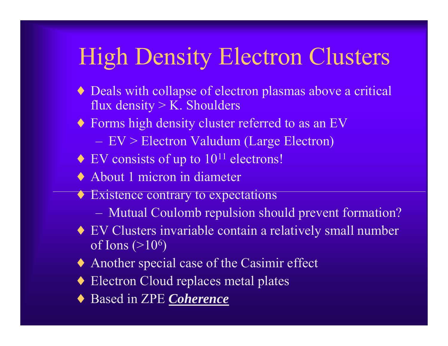## High Density Electron Clusters

- ♦ Deals with collapse of electron plasmas above a critical flux density  $>$  K. Shoulders
- Forms high density cluster referred to as an EV **marcona** EV > Electron Valudum (Large Electron)
- $\triangle$  EV consists of up to  $10^{11}$  electrons!
- ♦ About 1 micron in diameter
- ♦ Existence contrary to expectations
	- ñMutual Coulomb repulsion should prevent formation?
- ♦ EV Clusters invariable contain a relatively small number of Ions (>10 6 )
- ♦ Another special case of the Casimir effect
- ♦ Electron Cloud replaces metal plates
- ♦ Based in ZPE *Coherence*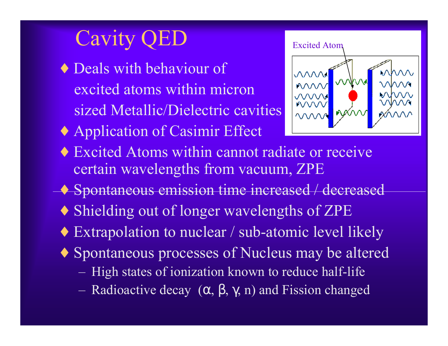## Cavity

- ♦ Deals with behaviour of excited atoms within micron sized Metallic/Dielectric cavities
- ♦ Application of Casimir Effect



- ♦ Excited Atoms within cannot radiate or receive certain wavelengths from vacuum, ZPE
- ♦ Spontaneous emission time increased / decreased
- ♦ Shielding out of longer wavelengths of ZPE
- ♦ Extrapolation to nuclear / sub-atomic level likely
- ♦ Spontaneous processes of Nucleus may be altered
	- ñHigh states of ionization known to reduce half-life
	- ñRadioactive decay  $(\alpha, \beta, \gamma, n)$  and Fission changed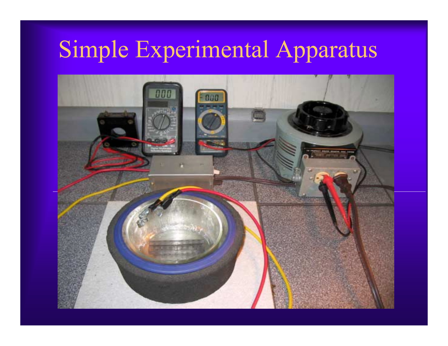# Simple Experimental Apparatus

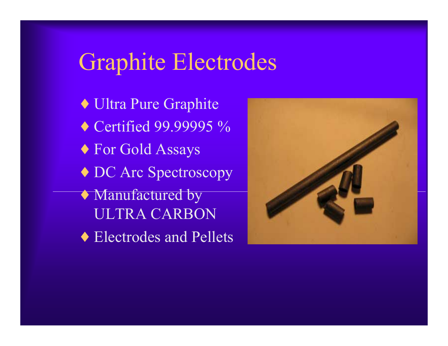### Graphite Electrodes

- ♦ Ultra Pure Graphite
- ◆ Certified 99.99995 %
- ♦ For Gold Assays
- ♦ DC Arc Spectroscopy
- ♦ Manufactured by ULTRA CARBON
- ♦ Electrodes and Pellets

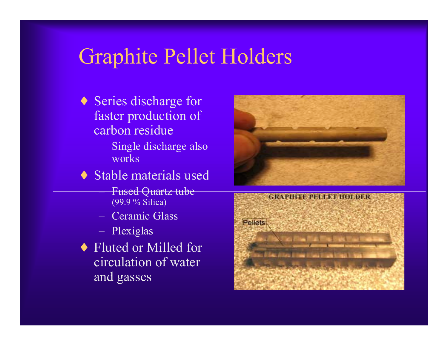#### Graphite Pellet Holders

- ♦ Series discharge for faster production of carbon residue
	- **market**  Single discharge also works
- ♦ Stable materials used
	- **marcona**  Fused Quartz tube (99.9 % Silica)
	- ñ Ceramic Glass
	- Plexiglas
- ♦ Fluted or Milled for circulation of water and gasses



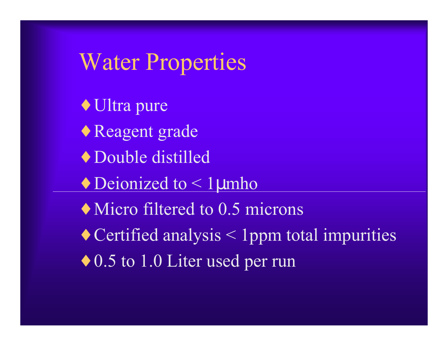#### Water Properties

♦ Ultra pure

- ♦ Reagent grade
- ♦ Double distilled
- $\blacklozenge$  Deionized to  $\lt 1$  µmho
- Micro filtered to 0.5 microns
- $\triangle$  Certified analysis  $\leq$  1 ppm total impurities
- ◆ 0.5 to 1.0 Liter used per run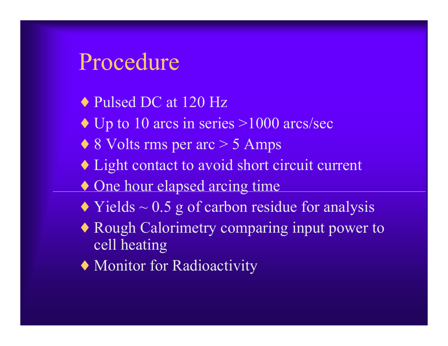#### Procedure

- ◆ Pulsed DC at 120 Hz
- $\triangle$  Up to 10 arcs in series >1000 arcs/sec
- $\triangle$  8 Volts rms per arc  $>$  5 Amps
- ♦ Light contact to avoid short circuit current
- One hour elapsed arcing time
- $\triangle$  Yields  $\sim$  0.5 g of carbon residue for analysis
- ♦ Rough Calorimetry comparing input power to cell heating
- ♦ Monitor for Radioactivity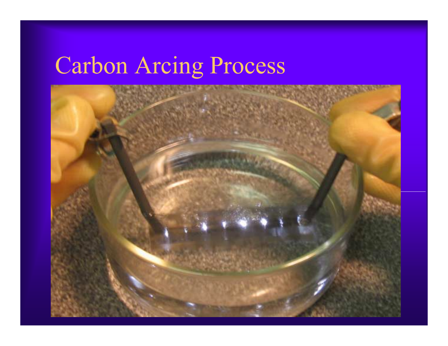# Carbon Arcing Process

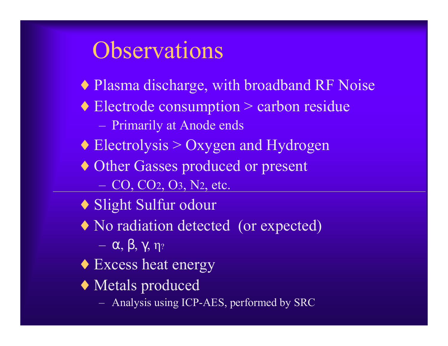### **Observations**

- ♦ Plasma discharge, with broadband RF Noise
- ♦ Electrode consumption > carbon residue
	- ñPrimarily at Anode ends
- $\triangle$  Electrolysis > Oxygen and Hydrogen
- ♦ Other Gasses produced or present ñCO, CO 2, O 3, N 2, etc.
- ♦ Slight Sulfur odour
- No radiation detected (or expected)

 $-\alpha$ , β, γ, η $_{?}$ 

- Excess heat energy
- ♦ Metals produced
	- Analysis using ICP-AES, performed by SRC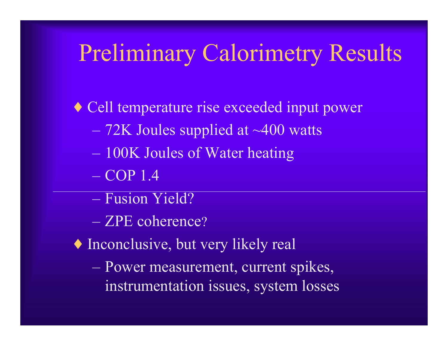## Preliminary Calorimetry Results

♦ Cell temperature rise exceeded input power

- 72K Joules supplied at ~400 watts
- 100K Joules of Water heating
- $-$  COP 1.4
- Fusion Yield?
- ZPE coherence?
- ♦ Inconclusive, but very likely real
	- Power measurement, current spikes, instrumentation issues, system losses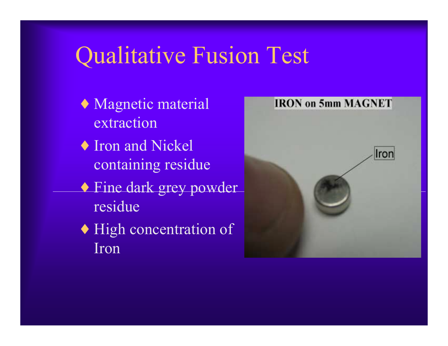## Qualitative Fusion Test

- ♦ Magnetic material extraction
- ♦ Iron and Nickel containing residue
- ♦ Fine dark grey powder residue
- ♦ High concentration of Iron

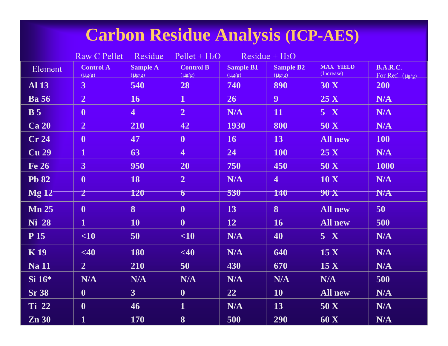#### **Carbon Residue Analysis (ICP-AES)**

|                         | <b>Raw C Pellet</b>             | Residue                        | $Pellet + H2O$                  |                                 | $Residue + H2O$                 |                                |                                         |
|-------------------------|---------------------------------|--------------------------------|---------------------------------|---------------------------------|---------------------------------|--------------------------------|-----------------------------------------|
| Element                 | <b>Control A</b><br>$(\mu g/g)$ | <b>Sample A</b><br>$(\mu g/g)$ | <b>Control B</b><br>$(\mu g/g)$ | <b>Sample B1</b><br>$(\mu g/g)$ | <b>Sample B2</b><br>$(\mu g/g)$ | <b>MAX YIELD</b><br>(Increase) | <b>B.A.R.C.</b><br>For Ref. $(\mu g/g)$ |
| <b>Al 13</b>            | 3 <sup>1</sup>                  | 540                            | 28                              | 740                             | 890                             | 30 X                           | 200                                     |
| <b>Ba</b> 56            | $\overline{2}$                  | 16                             | $\overline{1}$                  | 26 <sup>°</sup>                 | 9 <sup>°</sup>                  | 25 X                           | N/A                                     |
| <b>B</b> 5              | $\boldsymbol{0}$                | $\overline{4}$                 | $\overline{2}$                  | N/A                             | 11                              | 5 X                            | N/A                                     |
| <b>Ca 20</b>            | $\overline{2}$                  | 210                            | 42                              | <b>1930</b>                     | 800                             | 50 X                           | N/A                                     |
| Cr 24                   | $\boldsymbol{0}$                | 47                             | $\boldsymbol{0}$                | 16                              | 13                              | <b>All new</b>                 | 100                                     |
| <b>Cu</b> <sub>29</sub> | $\mathbf 1$                     | 63                             | $\overline{\mathbf{4}}$         | 24                              | 100                             | 25 X                           | N/A                                     |
| Fe 26                   | 3 <sup>1</sup>                  | 950                            | 20                              | 750                             | 450                             | 50 X                           | 1000                                    |
| <b>Pb 82</b>            | $\boldsymbol{0}$                | 18                             | $\overline{2}$                  | N/A                             | $\overline{4}$                  | 10 X                           | N/A                                     |
| Mg12                    | $\overline{2}$                  | 120                            | 6                               | 530                             | 140                             | <b>90 X</b>                    | N/A                                     |
| <b>Mn 25</b>            | $\boldsymbol{0}$                | $\bf{8}$                       | $\boldsymbol{0}$                | 13                              | 8                               | <b>All new</b>                 | 50                                      |
| Ni 28                   | $\mathbf{1}$                    | <b>10</b>                      | $\boldsymbol{0}$                | 12                              | 16                              | All new                        | 500                                     |
| <b>P</b> 15             | $\leq 10$                       | 50                             | $\leq 10$                       | N/A                             | 40                              | 5 X                            | <b>N/A</b>                              |
| <b>K19</b>              | <40                             | 180                            | <40                             | N/A                             | 640                             | 15 <sub>X</sub>                | N/A                                     |
| <b>Na 11</b>            | $\overline{2}$                  | 210                            | 50                              | 430                             | 670                             | 15 <sub>X</sub>                | N/A                                     |
| $Si 16*$                | N/A                             | N/A                            | N/A                             | N/A                             | <b>N/A</b>                      | N/A                            | 500                                     |
| <b>Sr 38</b>            | $\boldsymbol{0}$                | 3 <sup>1</sup>                 | $\boldsymbol{0}$                | 22                              | 10                              | <b>All new</b>                 | N/A                                     |
| <b>Ti</b> 22            | $\boldsymbol{0}$                | 46                             | $\mathbf{1}$                    | N/A                             | 13                              | 50 X                           | N/A                                     |
| Zn 30                   | $\mathbf{1}$                    | 170                            | 8                               | 500                             | 290                             | 60 X                           | N/A                                     |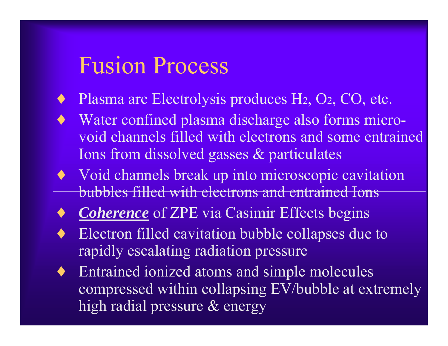#### Fusion Process

- ◆ Plasma arc Electrolysis produces H2, O2, CO, etc.
- Water confined plasma discharge also forms microvoid channels filled with electrons and some entrained Ions from dissolved gasses & particulates
- ♦ Void channels break up into microscopic cavitation bubbles filled with electrons and entrained Ions
- **Coherence** of ZPE via Casimir Effects begins
- Electron filled cavitation bubble collapses due to rapidly escalating radiation pressure
- Entrained ionized atoms and simple molecules compressed within collapsing EV/bubble at extremely high radial pressure & energy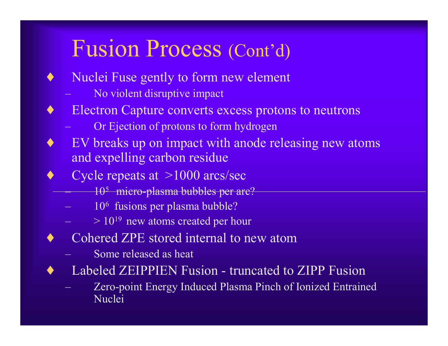## Fusion Process (Cont'd)

- ♦ Nuclei Fuse gently to form new element
	- **market** No violent disruptive impact
- Electron Capture converts excess protons to neutrons
	- ñOr Ejection of protons to form hydrogen
- EV breaks up on impact with anode releasing new atoms and expelling carbon residue
- Cycle repeats at  $>1000$  arcs/sec
	- **marcona** 105 micro-plasma bubbles per arc?
	- ñ106 fusions per plasma bubble?
	- $> 10^{19}$  new atoms created per hour
- ♦ Cohered ZPE stored internal to new atom
	- ñSome released as heat
- Labeled ZEIPPIEN Fusion truncated to ZIPP Fusion
	- ñ Zero-point Energy Induced Plasma Pinch of Ionized Entrained Nuclei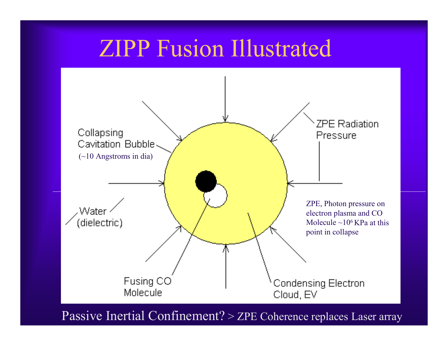### ZIPP Fusion Illustrated



Passive Inertial Confinement? > ZPE Coherence replaces Laser array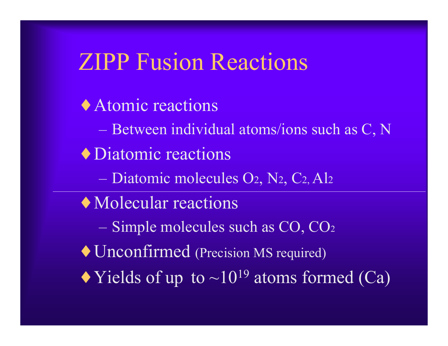## ZIPP Fusion Reactions

♦ Atomic reactions Between individual atoms/ions such as C, N ♦ Diatomic reactions – Diatomic molecules O2, N2, C2, Al2 ♦ Molecular reactions Simple molecules such as CO, CO 2 ♦ Unconfirmed (Precision MS required)  $\blacktriangleright$  Yields of up to  $\sim 10^{19}$  atoms formed (Ca)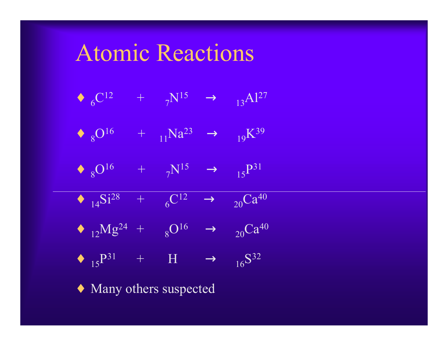#### Atomic Reactions

$$
\blacklozenge \ {}_6C^{12} \qquad \, + \qquad \, _7N^{15} \qquad \ \ \rightarrow \qquad \, _{13}Al^{27}
$$

- $\leftrightarrow 8^{\text{O}^{16}} + 11^{\text{Na}^{23}} \rightarrow 19$  $\rm K^{39}$
- $\leftrightarrow 8^{0^{16}} + \frac{1}{7}N^{15} \rightarrow \frac{15}{15}N^{31}$
- $\leftrightarrow$  <sub>14</sub>Si<sup>28</sup> + <sub>6</sub>C<sup>12</sup>  $\rightarrow$  <sub>20</sub>Ca<sup>40</sup>
- $\leftrightarrow$  <sub>12</sub>Mg<sup>24</sup> +  $8^{\text{O}16}$   $\rightarrow$   $20^{\text{C}a^{40}}$
- $\leftrightarrow$  15<sup>P31</sup> + H  $\rightarrow$  16<sup>S32</sup>

♦ Many others suspected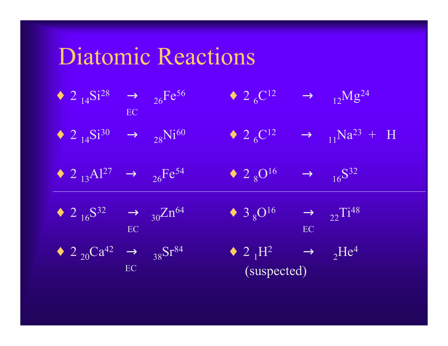# Diatomic Reactions

|  | • 2 $_{14}Si^{28}$ $\rightarrow$ $_{26}Fe^{56}$<br>EC<br>• 2 $_{14}Si^{30}$ $\rightarrow$ $_{28}Ni^{60}$ | $\bullet$ 2 $_6C^{12}$                                                                                                                                                                                                                            | $\rightarrow$ 12Mg <sup>24</sup>                |
|--|----------------------------------------------------------------------------------------------------------|---------------------------------------------------------------------------------------------------------------------------------------------------------------------------------------------------------------------------------------------------|-------------------------------------------------|
|  |                                                                                                          | $\bullet$ 2 $_6C^{12}$                                                                                                                                                                                                                            | $\rightarrow$ 11 <sup>Na<sup>23</sup> + H</sup> |
|  | • 2 <sub>13</sub> Al <sup>27</sup> $\rightarrow$ <sub>26</sub> Fe <sup>54</sup>                          | $\sqrt{28}$ $\sqrt{16}$                                                                                                                                                                                                                           | $\rightarrow$ 16 <sup>S32</sup>                 |
|  | • $2_{16}S^{32}$ $\rightarrow$ $30}Zn^{64}$                                                              | $\begin{array}{c} \begin{array}{cc} \bullet & 3 \ 8 \end{array} & \begin{array}{c} 0^{16} \\ \end{array} & \rightarrow \\ \begin{array}{cc} & \end{array} & \begin{array}{c} 22 \end{array} & \begin{array}{c} 1^{48} \\ \end{array} \end{array}$ |                                                 |
|  | $2 \t 20 \text{Ca}^{42} \rightarrow 38 \text{Sr}^{84}$                                                   | $\left( \text{suspected} \right)$ $\rightarrow$ $_{2}He^{4}$                                                                                                                                                                                      |                                                 |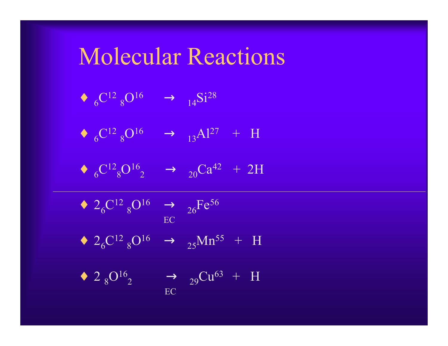#### Molecular Reactions

- $\bullet$  6  $\rm C^{12}$   $_8$  $\rm O^{16} \quad \rightarrow \quad \rm _{14}Si^{28}$
- $\leftrightarrow$  6<sup>C12</sup> 8<sup>O16</sup>  $\rightarrow$  <sub>13</sub>Al<sup>27</sup> + H
- $\bullet$  6  $\rm C^{12}_{\phantom{1}8}$  $\mathrm{O^{16}}_2$  $\rightarrow$  <sub>20</sub>Ca<sup>42</sup> + 2H
- $\bullet$  2<sub>6</sub>  $\rm C^{12}$   $_8$  $\rm O^{16}$   $\rightarrow$  <sub>26</sub>Fe<sup>56</sup>

 $\,\bullet\,$  2  $_8$ O<sup>16</sup><sub>2</sub>

- EC
- $\leftrightarrow$  2<sub>6</sub>C<sup>12</sup> <sub>8</sub>O<sup>16</sup>  $\rightarrow$  <sub>25</sub>Mn<sup>55</sup> + H
- -

EC

- 
- 

 $\rightarrow$  <sub>29</sub>Cu<sup>63</sup> + H

- 
- 
- 
- 
- 
- 
- 
- 
-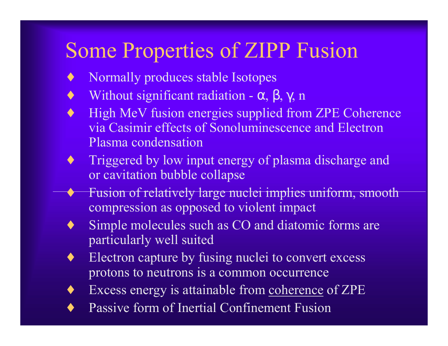#### Some Properties of ZIPP Fusion

- ♦ Normally produces stable Isotopes
- $\blacklozenge$  Without significant radiation  $\alpha$ ,  $\beta$ ,  $\gamma$ , n
- High MeV fusion energies supplied from ZPE Coherence via Casimir effects of Sonoluminescence and Electron Plasma condensation
- ♦ Triggered by low input energy of plasma discharge and or cavitation bubble collapse
- ♦ Fusion of relatively large nuclei implies uniform, smooth compression as opposed to violent impact
- ♦ Simple molecules such as CO and diatomic forms are particularly well suited
- ♦ Electron capture by fusing nuclei to convert excess protons to neutrons is a common occurrence
- ♦ Excess energy is attainable from coherence of ZPE
- Passive form of Inertial Confinement Fusion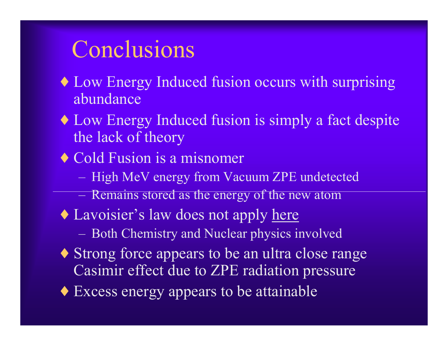## Conclusions

- Low Energy Induced fusion occurs with surprising abundance
- ♦ Low Energy Induced fusion is simply a fact despite the lack of theory
- ♦ Cold Fusion is a misnomer
	- **marcona** High MeV energy from Vacuum ZPE undetected
	- ñRemains stored as the energy of the new atom
- Lavoisier's law does not apply here
	- ñBoth Chemistry and Nuclear physics involved
- Strong force appears to be an ultra close range Casimir effect due to ZPE radiation pressure
- ♦ Excess energy appears to be attainable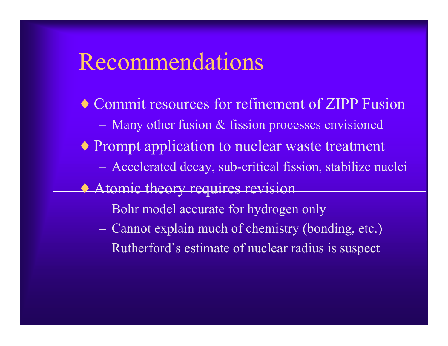#### Recommendations

- ♦ Commit resources for refinement of ZIPP Fusion ñMany other fusion & fission processes envisioned ♦ Prompt application to nuclear waste treatment **marcona**  Accelerated decay, sub-critical fission, stabilize nuclei **Atomic theory requires revision** 
	- ñBohr model accurate for hydrogen only
	- ñCannot explain much of chemistry (bonding, etc.)
	- ñRutherford's estimate of nuclear radius is suspect